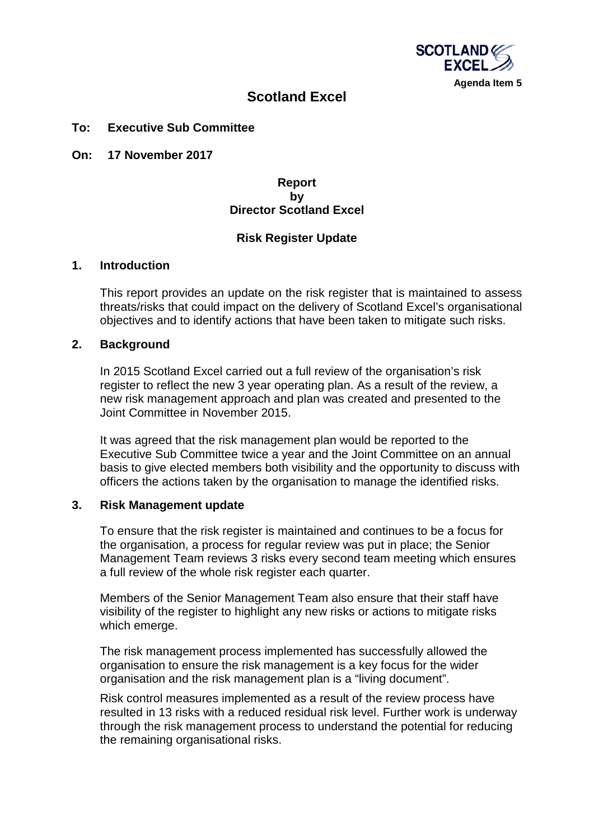

# **Scotland Excel**

## **To: Executive Sub Committee**

**On: 17 November 2017**

# **Report by Director Scotland Excel**

## **Risk Register Update**

### **1. Introduction**

This report provides an update on the risk register that is maintained to assess threats/risks that could impact on the delivery of Scotland Excel's organisational objectives and to identify actions that have been taken to mitigate such risks.

## **2. Background**

In 2015 Scotland Excel carried out a full review of the organisation's risk register to reflect the new 3 year operating plan. As a result of the review, a new risk management approach and plan was created and presented to the Joint Committee in November 2015.

It was agreed that the risk management plan would be reported to the Executive Sub Committee twice a year and the Joint Committee on an annual basis to give elected members both visibility and the opportunity to discuss with officers the actions taken by the organisation to manage the identified risks.

### **3. Risk Management update**

To ensure that the risk register is maintained and continues to be a focus for the organisation, a process for regular review was put in place; the Senior Management Team reviews 3 risks every second team meeting which ensures a full review of the whole risk register each quarter.

Members of the Senior Management Team also ensure that their staff have visibility of the register to highlight any new risks or actions to mitigate risks which emerge.

The risk management process implemented has successfully allowed the organisation to ensure the risk management is a key focus for the wider organisation and the risk management plan is a "living document".

Risk control measures implemented as a result of the review process have resulted in 13 risks with a reduced residual risk level. Further work is underway through the risk management process to understand the potential for reducing the remaining organisational risks.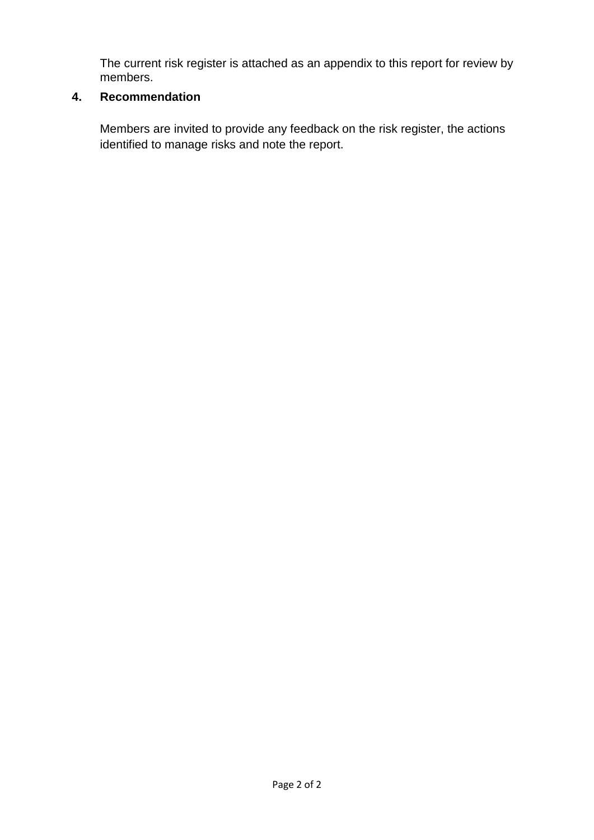The current risk register is attached as an appendix to this report for review by members.

# **4. Recommendation**

Members are invited to provide any feedback on the risk register, the actions identified to manage risks and note the report.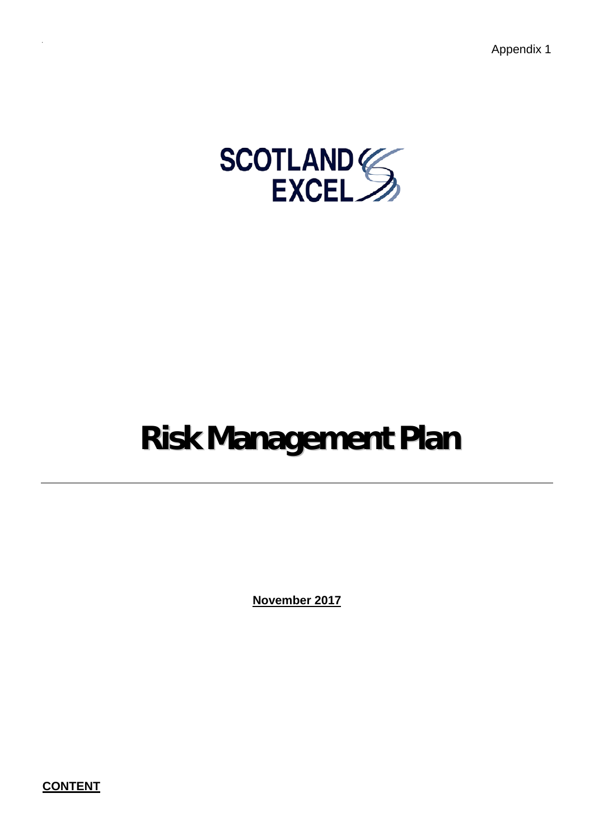Appendix 1



# **Risk Management Plan**

**November 2017**

**CONTENT**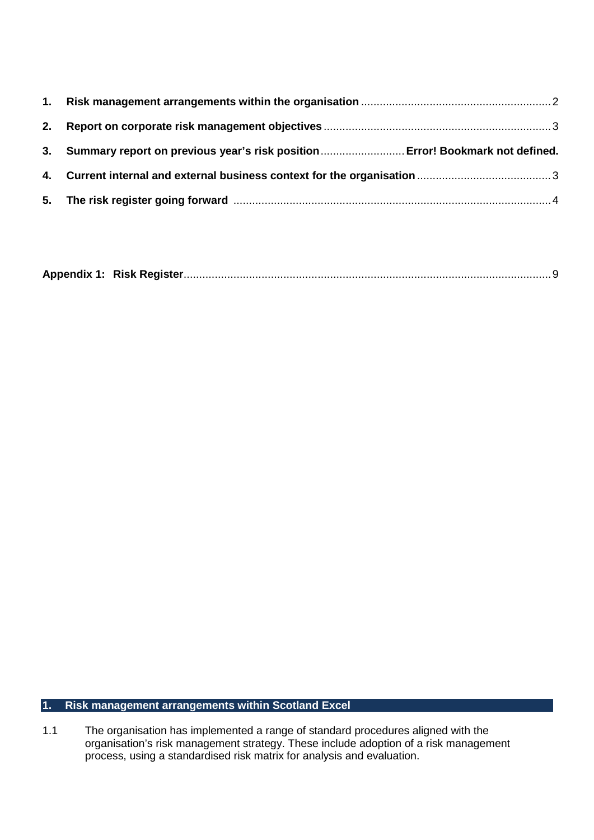| 3. Summary report on previous year's risk position Error! Bookmark not defined. |
|---------------------------------------------------------------------------------|
|                                                                                 |
|                                                                                 |

|--|--|--|

# <span id="page-3-0"></span>**1. Risk management arrangements within Scotland Excel**

1.1 The organisation has implemented a range of standard procedures aligned with the organisation's risk management strategy. These include adoption of a risk management process, using a standardised risk matrix for analysis and evaluation.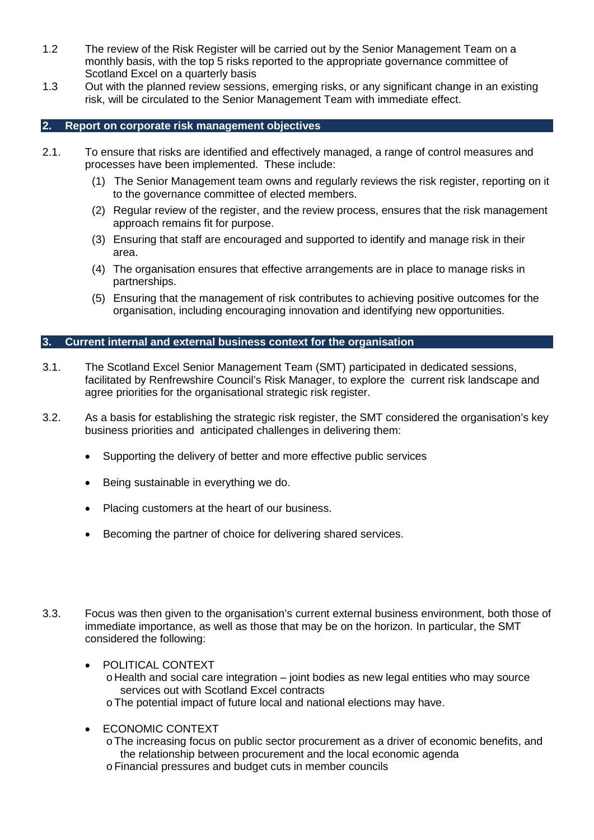- 1.2 The review of the Risk Register will be carried out by the Senior Management Team on a monthly basis, with the top 5 risks reported to the appropriate governance committee of Scotland Excel on a quarterly basis
- 1.3 Out with the planned review sessions, emerging risks, or any significant change in an existing risk, will be circulated to the Senior Management Team with immediate effect.

## <span id="page-4-0"></span>**2. Report on corporate risk management objectives**

- 2.1. To ensure that risks are identified and effectively managed, a range of control measures and processes have been implemented. These include:
	- (1) The Senior Management team owns and regularly reviews the risk register, reporting on it to the governance committee of elected members.
	- (2) Regular review of the register, and the review process, ensures that the risk management approach remains fit for purpose.
	- (3) Ensuring that staff are encouraged and supported to identify and manage risk in their area.
	- (4) The organisation ensures that effective arrangements are in place to manage risks in partnerships.
	- (5) Ensuring that the management of risk contributes to achieving positive outcomes for the organisation, including encouraging innovation and identifying new opportunities.

#### <span id="page-4-1"></span>**3. Current internal and external business context for the organisation**

- 3.1. The Scotland Excel Senior Management Team (SMT) participated in dedicated sessions, facilitated by Renfrewshire Council's Risk Manager, to explore the current risk landscape and agree priorities for the organisational strategic risk register.
- 3.2. As a basis for establishing the strategic risk register, the SMT considered the organisation's key business priorities and anticipated challenges in delivering them:
	- Supporting the delivery of better and more effective public services
	- Being sustainable in everything we do.
	- Placing customers at the heart of our business.
	- Becoming the partner of choice for delivering shared services.
- 3.3. Focus was then given to the organisation's current external business environment, both those of immediate importance, as well as those that may be on the horizon. In particular, the SMT considered the following:
	- POLITICAL CONTEXT  $\circ$  Health and social care integration – joint bodies as new legal entities who may source services out with Scotland Excel contracts

oThe potential impact of future local and national elections may have.

- ECONOMIC CONTEXT
	- oThe increasing focus on public sector procurement as a driver of economic benefits, and the relationship between procurement and the local economic agenda
	- oFinancial pressures and budget cuts in member councils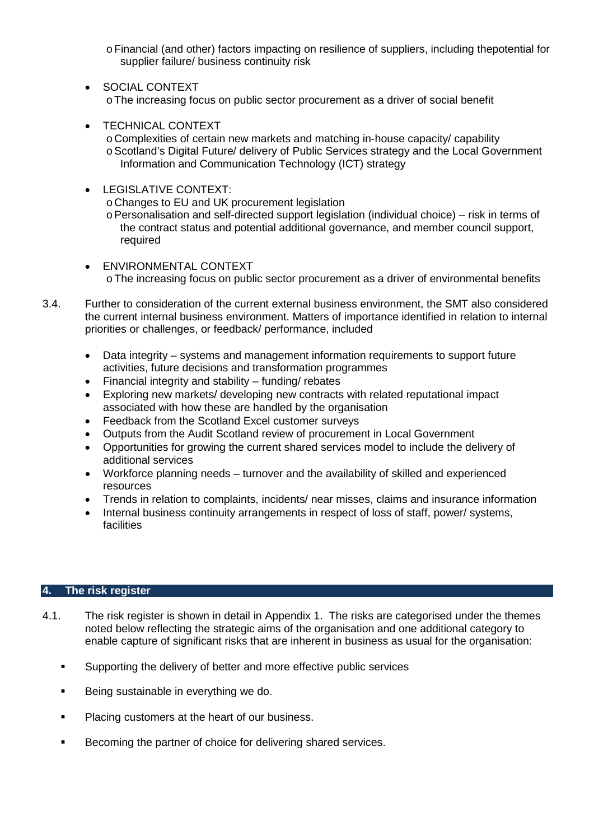- oFinancial (and other) factors impacting on resilience of suppliers, including thepotential for supplier failure/ business continuity risk
- SOCIAL CONTEXT oThe increasing focus on public sector procurement as a driver of social benefit
- TECHNICAL CONTEXT oComplexities of certain new markets and matching in-house capacity/ capability o Scotland's Digital Future/ delivery of Public Services strategy and the Local Government Information and Communication Technology (ICT) strategy
- LEGISLATIVE CONTEXT: oChanges to EU and UK procurement legislation  $\circ$  Personalisation and self-directed support legislation (individual choice) – risk in terms of the contract status and potential additional governance, and member council support, required
- ENVIRONMENTAL CONTEXT oThe increasing focus on public sector procurement as a driver of environmental benefits
- 3.4. Further to consideration of the current external business environment, the SMT also considered the current internal business environment. Matters of importance identified in relation to internal priorities or challenges, or feedback/ performance, included
	- Data integrity systems and management information requirements to support future activities, future decisions and transformation programmes
	- Financial integrity and stability funding/ rebates
	- Exploring new markets/ developing new contracts with related reputational impact associated with how these are handled by the organisation
	- Feedback from the Scotland Excel customer surveys
	- Outputs from the Audit Scotland review of procurement in Local Government
	- Opportunities for growing the current shared services model to include the delivery of additional services
	- Workforce planning needs turnover and the availability of skilled and experienced resources
	- Trends in relation to complaints, incidents/ near misses, claims and insurance information
	- Internal business continuity arrangements in respect of loss of staff, power/ systems, **facilities**

### <span id="page-5-0"></span>**4. The risk register**

- 4.1. The risk register is shown in detail in Appendix 1. The risks are categorised under the themes noted below reflecting the strategic aims of the organisation and one additional category to enable capture of significant risks that are inherent in business as usual for the organisation:
	- **Supporting the delivery of better and more effective public services**
	- Being sustainable in everything we do.
	- Placing customers at the heart of our business.
	- Becoming the partner of choice for delivering shared services.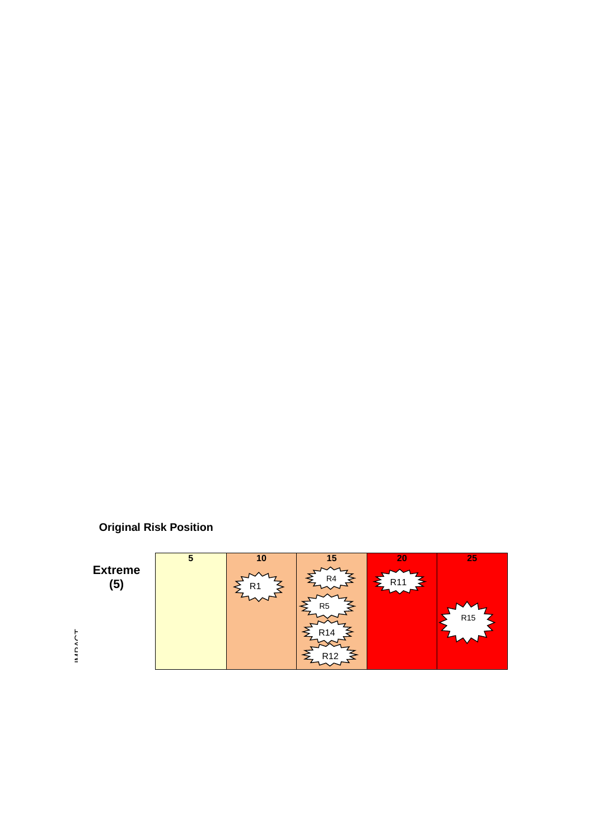

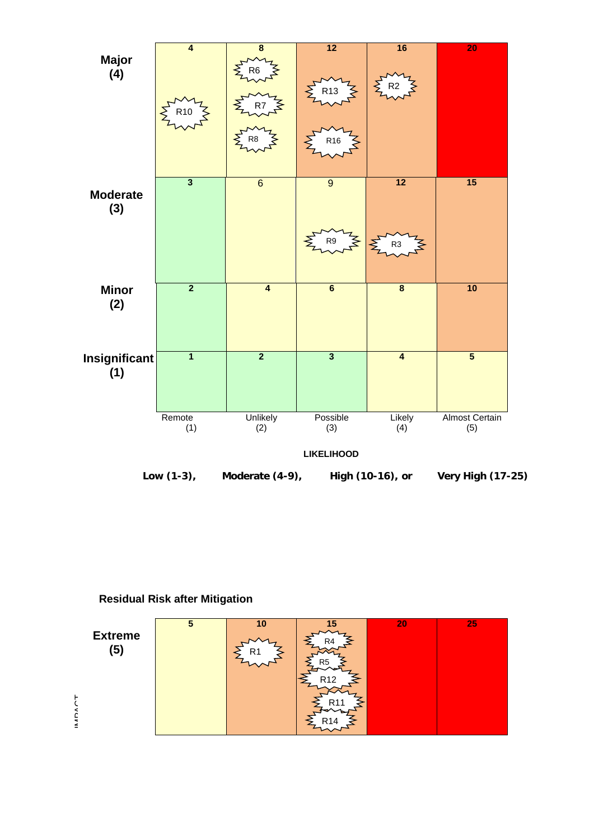

**Residual Risk after Mitigation**

| <b>Extreme</b><br>(5)     | 5 | 10<br>R1 | R4<br>R5<br>R <sub>12</sub> | 20 | 25 |
|---------------------------|---|----------|-----------------------------|----|----|
| $\tilde{\mathsf{a}}$<br>≤ |   |          |                             |    |    |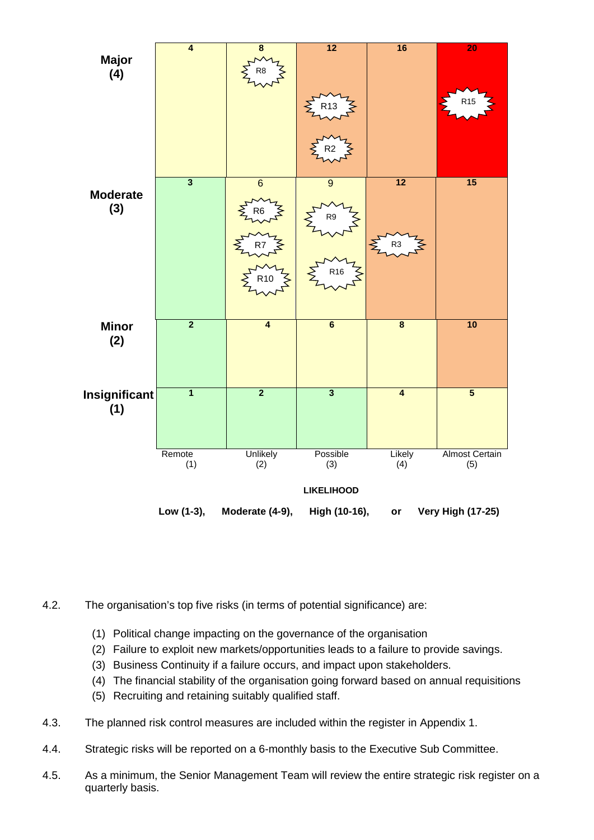

- 4.2. The organisation's top five risks (in terms of potential significance) are:
	- (1) Political change impacting on the governance of the organisation
	- (2) Failure to exploit new markets/opportunities leads to a failure to provide savings.
	- (3) Business Continuity if a failure occurs, and impact upon stakeholders.
	- (4) The financial stability of the organisation going forward based on annual requisitions
	- (5) Recruiting and retaining suitably qualified staff.
- 4.3. The planned risk control measures are included within the register in Appendix 1.
- 4.4. Strategic risks will be reported on a 6-monthly basis to the Executive Sub Committee.
- 4.5. As a minimum, the Senior Management Team will review the entire strategic risk register on a quarterly basis.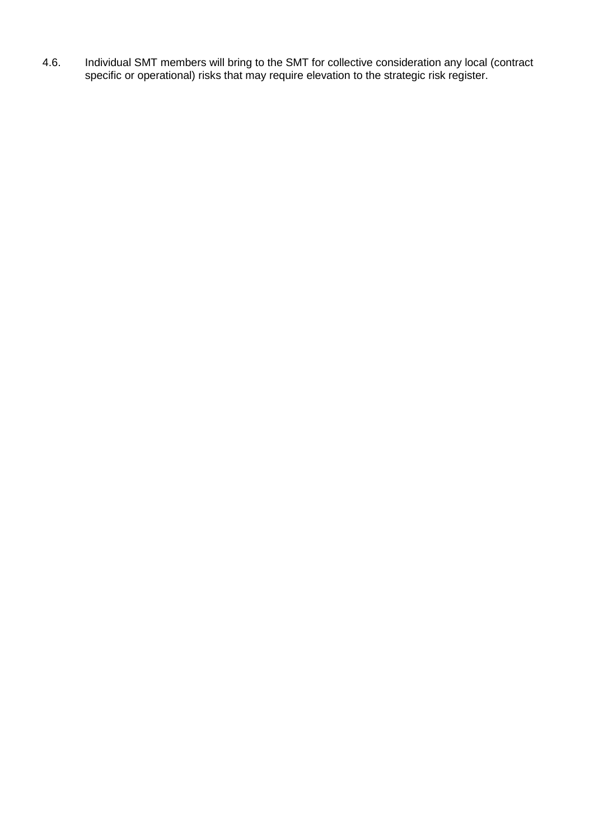4.6. Individual SMT members will bring to the SMT for collective consideration any local (contract specific or operational) risks that may require elevation to the strategic risk register.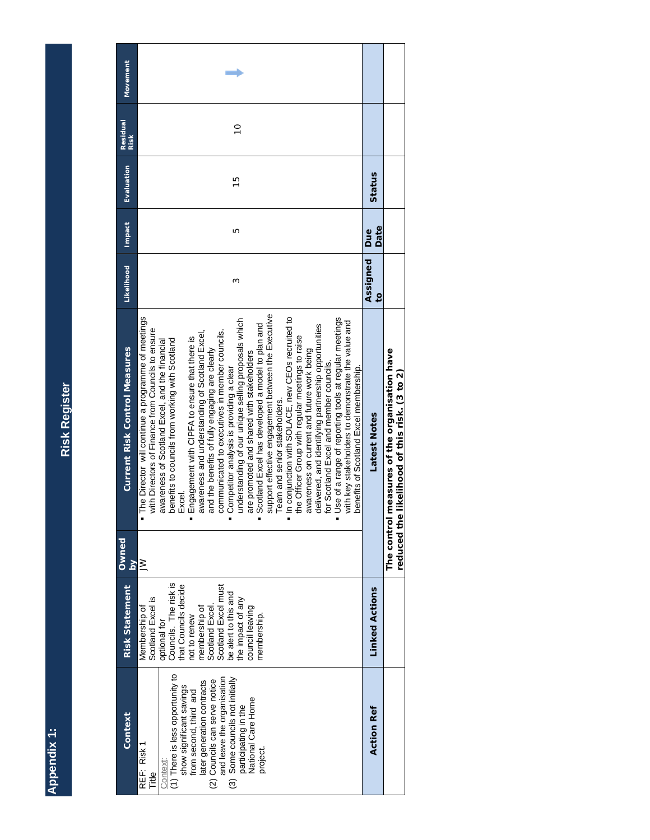Appendix 1: **Appendix 1:**

<span id="page-10-0"></span>**Risk Register Risk Register**

| Movement                             |                                                                                                                                                                                                                                                                                                                                                                                                                                                                                                                                                                                                                                                                                                                                                                                                                                                                                                                                                                                                                                                                                                                                             |                            |                                                                                    |
|--------------------------------------|---------------------------------------------------------------------------------------------------------------------------------------------------------------------------------------------------------------------------------------------------------------------------------------------------------------------------------------------------------------------------------------------------------------------------------------------------------------------------------------------------------------------------------------------------------------------------------------------------------------------------------------------------------------------------------------------------------------------------------------------------------------------------------------------------------------------------------------------------------------------------------------------------------------------------------------------------------------------------------------------------------------------------------------------------------------------------------------------------------------------------------------------|----------------------------|------------------------------------------------------------------------------------|
| <b>Residual</b><br>Risk              | $\frac{1}{2}$                                                                                                                                                                                                                                                                                                                                                                                                                                                                                                                                                                                                                                                                                                                                                                                                                                                                                                                                                                                                                                                                                                                               |                            |                                                                                    |
| Evaluation                           | $\frac{5}{1}$                                                                                                                                                                                                                                                                                                                                                                                                                                                                                                                                                                                                                                                                                                                                                                                                                                                                                                                                                                                                                                                                                                                               | Status                     |                                                                                    |
| Impact                               | ١Ω                                                                                                                                                                                                                                                                                                                                                                                                                                                                                                                                                                                                                                                                                                                                                                                                                                                                                                                                                                                                                                                                                                                                          | Date<br>Due                |                                                                                    |
| <b>Likelihood</b>                    | Σ                                                                                                                                                                                                                                                                                                                                                                                                                                                                                                                                                                                                                                                                                                                                                                                                                                                                                                                                                                                                                                                                                                                                           | Assigned<br>$\overline{c}$ |                                                                                    |
| <b>Current Risk Control Measures</b> | support effective engagement between the Executive<br>In conjunction with SOLACE, new CEOs recruited to<br>The Director will continue a programme of meetings<br>Use of a range of reporting tools at regular meetings<br>understanding of our unique selling proposals which<br>with key stakeholders to demonstrate the value and<br>Scotland Excel has developed a model to plan and<br>delivered, and identifying partnership opportunities<br>with Directors of Finance from Councils to ensure<br>communicated to executives in member councils.<br>awareness and understanding of Scotland Excel,<br>the Officer Group with regular meetings to raise<br>Engagement with CIPFA to ensure that there is<br>benefits to councils from working with Scotland<br>awareness of Scotland Excel, and the financial<br>and the benefits of fully engaging are clearly<br>awareness on current and future work being<br>are promoted and shared with stakeholders<br>for Scotland Excel and member councils.<br>Competitor analysis is providing a clear<br>benefits of Scotland Excel membership.<br>Team and senior stakeholders.<br>Excel. | Latest Notes               | measures of the organisation have<br>reduced the likelihood of this risk. (3 to 2) |
| <b>Owned</b><br>$\mathsf{S}$         | $\geq$                                                                                                                                                                                                                                                                                                                                                                                                                                                                                                                                                                                                                                                                                                                                                                                                                                                                                                                                                                                                                                                                                                                                      |                            | The control                                                                        |
| <b>Risk Statement</b>                | optional for<br>Councils. The risk is<br>that Councils decide<br>membership of<br>Scotland Excel.<br>Scotland Excel must<br>be alert to this and<br>Scotland Excel is<br>the impact of any<br>council leaving<br>Membership of<br>membership.<br>not to renew                                                                                                                                                                                                                                                                                                                                                                                                                                                                                                                                                                                                                                                                                                                                                                                                                                                                               | <b>Linked Actions</b>      |                                                                                    |
| Context                              | (1) There is less opportunity to<br>(3) Some councils not initially<br>and leave the organisation<br>(2) Councils can serve notice<br>later generation contracts<br>show significant savings<br>from second, third and<br>participating in the<br>National Care Home<br>REF: Risk 1<br>project.<br>Context<br>Title                                                                                                                                                                                                                                                                                                                                                                                                                                                                                                                                                                                                                                                                                                                                                                                                                         | <b>Action Ref</b>          |                                                                                    |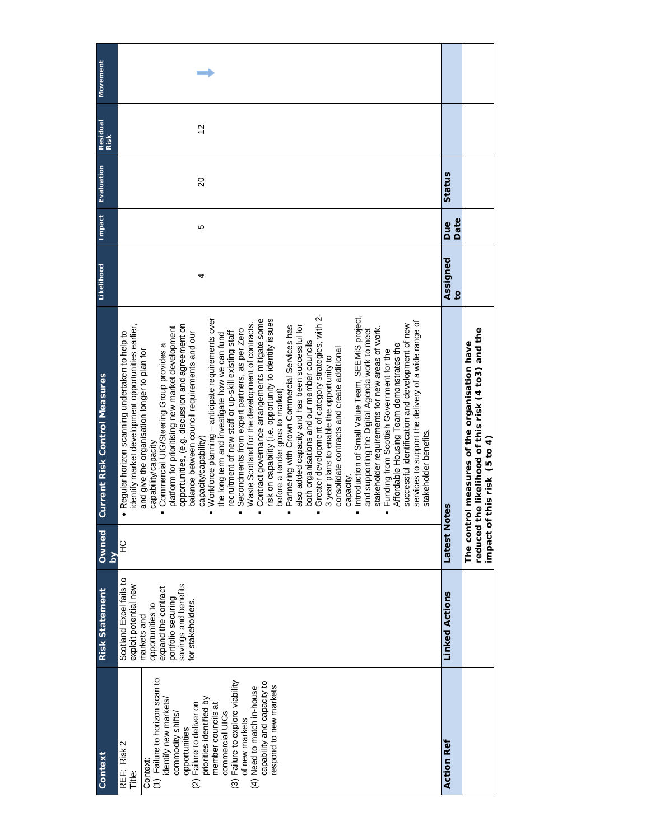| Context                                                                                                                                                                                                                                                                                                                                                | <b>Risk Statement</b>                                                                                                                                                         | Owned<br>λq            | <b>Current Risk Control Measures</b>                                                                                                                                                                                                                                                                                                                                                                                                                                                                                                                                                                                                                                                                                                                                                                                                                                                                                                                                                                                                                                                                                                                                                                                                                                                                                                                                                                                                                                                                                           | Likelihood               | <b>Impact</b> | Evaluation | Residual<br>Risk | Movement |
|--------------------------------------------------------------------------------------------------------------------------------------------------------------------------------------------------------------------------------------------------------------------------------------------------------------------------------------------------------|-------------------------------------------------------------------------------------------------------------------------------------------------------------------------------|------------------------|--------------------------------------------------------------------------------------------------------------------------------------------------------------------------------------------------------------------------------------------------------------------------------------------------------------------------------------------------------------------------------------------------------------------------------------------------------------------------------------------------------------------------------------------------------------------------------------------------------------------------------------------------------------------------------------------------------------------------------------------------------------------------------------------------------------------------------------------------------------------------------------------------------------------------------------------------------------------------------------------------------------------------------------------------------------------------------------------------------------------------------------------------------------------------------------------------------------------------------------------------------------------------------------------------------------------------------------------------------------------------------------------------------------------------------------------------------------------------------------------------------------------------------|--------------------------|---------------|------------|------------------|----------|
| (1) Failure to horizon scan to<br>Failure to explore viability<br>capability and capacity to<br>respond to new markets<br>(4) Need to match in-house<br>priorities identified by<br>identify new markets/<br>(2) Failure to deliver on<br>member councils at<br>commercial UIGs<br>commodity shifts/<br>of new markets<br>opportunities<br>REF: Risk 2 | Scotland Excel fails to<br>exploit potential new<br>savings and benefits<br>expand the contract<br>portfolio securing<br>for stakeholders.<br>opportunities to<br>markets and | $\frac{1}{2}$          | Greater development of category strategies, with 2-<br>Introduction of Small Value Team, SEEMIS project,<br>Workforce planning - anticipate requirements over<br>Contract governance arrangements mitigate some<br>risk on capability (i.e. opportunity to identify issues<br>services to support the delivery of a wide range of<br>Waste Scotland for the development of contracts.<br>successful identification and development of new<br>dentify market development opportunities earlier,<br>opportunities, (e.g. discussion and agreement on<br>also added capacity and has been successful for<br>Partnering with Crown Commercial Services has<br>platform for prioritising new market development<br>stakeholder requirements for new areas of work.<br>Secondments from expert partners, as per Zero<br>and supporting the Digital Agenda work to meet<br>Regular horizon scanning undertaken to help to<br>balance between council requirements and our<br>ecruitment of new staff or up-skill existing staff<br>the long term and investigate how we can fund<br>both organisations and our member councils<br>Affordable Housing Team demonstrates the<br>Commercial UIG/Steering Group provides a<br>consolidate contracts and create additional<br>Funding from Scottish Government for the<br>and give the organisation longer to plan for<br>3 year plans to enable the opportunity to<br>before a tender goes to market)<br>stakeholder benefits<br>capacity/capability)<br>capability/capacity<br>capacity. | 4                        | 5             | $\Omega$   | 57               |          |
| <b>Action Ref</b>                                                                                                                                                                                                                                                                                                                                      | <b>Linked Actions</b>                                                                                                                                                         | Latest<br>Notes        |                                                                                                                                                                                                                                                                                                                                                                                                                                                                                                                                                                                                                                                                                                                                                                                                                                                                                                                                                                                                                                                                                                                                                                                                                                                                                                                                                                                                                                                                                                                                | Assigned<br>$\mathbf{c}$ | Date<br>Due   | Status     |                  |          |
|                                                                                                                                                                                                                                                                                                                                                        |                                                                                                                                                                               | The contr<br>reduced i | he likelihood of this risk (4 to3) and the<br>ol measures of the organisation have<br>impact of this risk (5 to 4)                                                                                                                                                                                                                                                                                                                                                                                                                                                                                                                                                                                                                                                                                                                                                                                                                                                                                                                                                                                                                                                                                                                                                                                                                                                                                                                                                                                                             |                          |               |            |                  |          |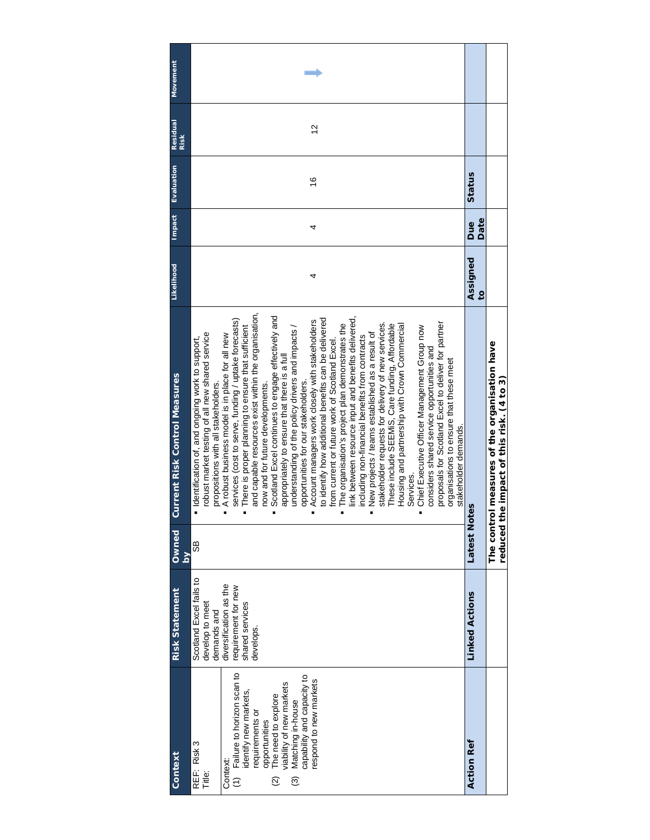| Movement                             |                                                                                                                                                                                                                                                                                                                                                                                                                                                                                                                                                                                                                                                                                                                                                                                                                                                                                                                                                                                                                                                                                                                                                                                                                                                                                                                                                                                       |                            |                                                                                    |
|--------------------------------------|---------------------------------------------------------------------------------------------------------------------------------------------------------------------------------------------------------------------------------------------------------------------------------------------------------------------------------------------------------------------------------------------------------------------------------------------------------------------------------------------------------------------------------------------------------------------------------------------------------------------------------------------------------------------------------------------------------------------------------------------------------------------------------------------------------------------------------------------------------------------------------------------------------------------------------------------------------------------------------------------------------------------------------------------------------------------------------------------------------------------------------------------------------------------------------------------------------------------------------------------------------------------------------------------------------------------------------------------------------------------------------------|----------------------------|------------------------------------------------------------------------------------|
| Residual<br>Risk                     | 57                                                                                                                                                                                                                                                                                                                                                                                                                                                                                                                                                                                                                                                                                                                                                                                                                                                                                                                                                                                                                                                                                                                                                                                                                                                                                                                                                                                    |                            |                                                                                    |
| Evaluation                           | $\frac{6}{5}$                                                                                                                                                                                                                                                                                                                                                                                                                                                                                                                                                                                                                                                                                                                                                                                                                                                                                                                                                                                                                                                                                                                                                                                                                                                                                                                                                                         | Status                     |                                                                                    |
| Impact                               | 4                                                                                                                                                                                                                                                                                                                                                                                                                                                                                                                                                                                                                                                                                                                                                                                                                                                                                                                                                                                                                                                                                                                                                                                                                                                                                                                                                                                     | Date<br>Due                |                                                                                    |
| Likelihood                           | 4                                                                                                                                                                                                                                                                                                                                                                                                                                                                                                                                                                                                                                                                                                                                                                                                                                                                                                                                                                                                                                                                                                                                                                                                                                                                                                                                                                                     | Assigned<br>$\overline{c}$ |                                                                                    |
| <b>Current Risk Control Measures</b> | and capable resources exist within the organisation,<br>Scotland Excel continues to engage effectively and<br>ink between resource input and benefits delivered,<br>to identify how additional benefits can be delivered<br>services (cost to serve, funding / uptake forecasts)<br>Account managers work closely with stakeholders<br>proposals for Scotland Excel to deliver for partner<br>The organisation's project plan demonstrates the<br>stakeholder requests for delivery of new services.<br>Housing and partnership with Crown Commercial<br>These include SEEMIS, Care funding, Affordable<br>Chief Executive Officer Management Group now<br>understanding of the policy drivers and impacts /<br>There is proper planning to ensure that sufficient<br>robust market testing of all new shared service<br>New projects / teams established as a result of<br>A robust business model is in place for all new<br>including non-financial benefits from contracts<br>"I dentification of, and ongoing work to support,<br>from current or future work of Scotland Excel.<br>considers shared service opportunities and<br>appropriately to ensure that there is a full<br>organisations to ensure that these meet<br>opportunities for our stakeholders.<br>propositions with all stakeholders.<br>now and for future developments.<br>stakeholder demands.<br>Services. | ites                       | The control measures of the organisation have<br>the impact of this risk. (4 to 3) |
| Owned<br>ΣĀ                          | 89                                                                                                                                                                                                                                                                                                                                                                                                                                                                                                                                                                                                                                                                                                                                                                                                                                                                                                                                                                                                                                                                                                                                                                                                                                                                                                                                                                                    | Latest<br>No               | reduced \                                                                          |
| <b>Risk Statement</b>                | Scotland Excel fails to<br>diversification as the<br>requirement for new<br>develop to meet<br>shared services<br>demands and<br>develops.                                                                                                                                                                                                                                                                                                                                                                                                                                                                                                                                                                                                                                                                                                                                                                                                                                                                                                                                                                                                                                                                                                                                                                                                                                            | <b>Linked Actions</b>      |                                                                                    |
| Context                              | (1) Failure to horizon scan to<br>Matching in-house<br>capability and capacity to<br>espond to new markets<br>viability of new markets<br>identify new markets,<br>The need to explore<br>requirements or<br>opportunities<br>REF: Risk 3<br>Context:<br>Title:<br>$\widehat{\mathcal{O}}$<br>$\widehat{\omega}$                                                                                                                                                                                                                                                                                                                                                                                                                                                                                                                                                                                                                                                                                                                                                                                                                                                                                                                                                                                                                                                                      | <b>Action Ref</b>          |                                                                                    |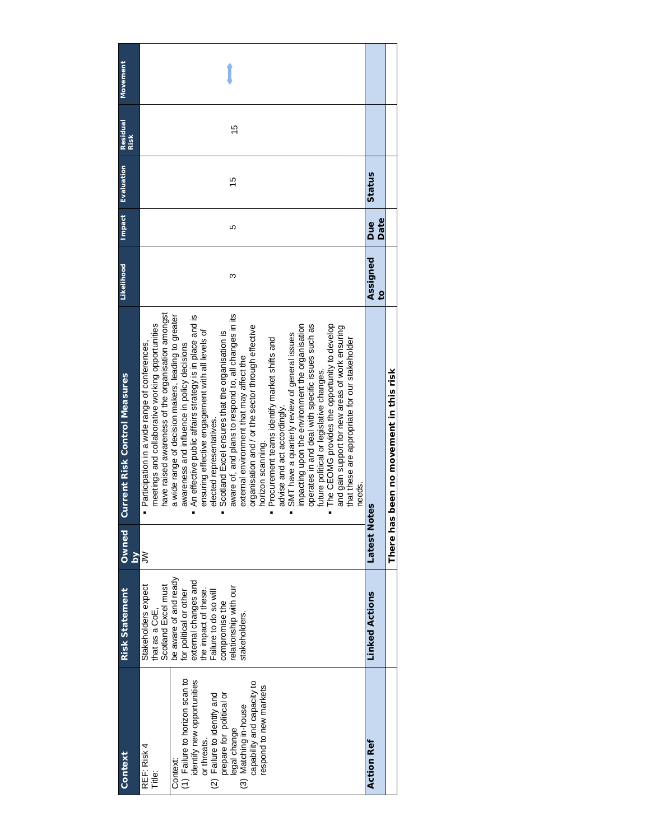| Movement                             |                                                                                                                                                                                                                                                                                                                                                                                                                                                                                                                                                                                                                                                                                                                                                                                                                                                                                                                                                                                                                                                                                                  |                                     |                                         |
|--------------------------------------|--------------------------------------------------------------------------------------------------------------------------------------------------------------------------------------------------------------------------------------------------------------------------------------------------------------------------------------------------------------------------------------------------------------------------------------------------------------------------------------------------------------------------------------------------------------------------------------------------------------------------------------------------------------------------------------------------------------------------------------------------------------------------------------------------------------------------------------------------------------------------------------------------------------------------------------------------------------------------------------------------------------------------------------------------------------------------------------------------|-------------------------------------|-----------------------------------------|
| Residual<br>Risk                     | $\frac{5}{2}$                                                                                                                                                                                                                                                                                                                                                                                                                                                                                                                                                                                                                                                                                                                                                                                                                                                                                                                                                                                                                                                                                    |                                     |                                         |
| Evaluation                           | 15                                                                                                                                                                                                                                                                                                                                                                                                                                                                                                                                                                                                                                                                                                                                                                                                                                                                                                                                                                                                                                                                                               | Status                              |                                         |
| Impact                               | 5                                                                                                                                                                                                                                                                                                                                                                                                                                                                                                                                                                                                                                                                                                                                                                                                                                                                                                                                                                                                                                                                                                | Date<br>Due                         |                                         |
| Likelihood                           | ω                                                                                                                                                                                                                                                                                                                                                                                                                                                                                                                                                                                                                                                                                                                                                                                                                                                                                                                                                                                                                                                                                                | Assigned<br>$\overline{\mathbf{c}}$ |                                         |
| <b>Current Risk Control Measures</b> | have raised awareness of the organisation amongst<br>aware of, and plans to respond to, all changes in its<br>An effective public affairs strategy is in place and is<br>a wide range of decision makers, leading to greater<br>meetings and collaborative working opportunities<br>The CEOMG provides the opportunity to develop<br>operates in and deal with specific issues such as<br>impacting upon the environment the organisation<br>organisation and / or the sector through effective<br>and gain support for new areas of work ensuring<br>ensuring effective engagement with all levels of<br>Scotland Excel ensures that the organisation is<br>SMT have a quarterly review of general issues<br>Procurement teams identify market shifts and<br>that these are appropriate for our stakeholder<br>· Participation in a wide range of conferences,<br>awareness and influence in policy decisions<br>external environment that may affect the<br>future political or legislative changes.<br>advise and act accordingly.<br>elected representatives.<br>horizon scanning.<br>needs. |                                     | There has been no movement in this risk |
| Owned<br>$\overline{\mathsf{a}}$     | ξ                                                                                                                                                                                                                                                                                                                                                                                                                                                                                                                                                                                                                                                                                                                                                                                                                                                                                                                                                                                                                                                                                                | Latest<br>Notes                     |                                         |
| <b>Risk Statement</b>                | be aware of and ready<br>external changes and<br>Scotland Excel must<br>Stakeholders expect<br>elationship with our<br>the impact of these.<br>Failure to do so will<br>for political or other<br>compromise the<br>that as a CoE,<br>stakeholders.                                                                                                                                                                                                                                                                                                                                                                                                                                                                                                                                                                                                                                                                                                                                                                                                                                              | <b>Linked Actions</b>               |                                         |
| Context                              | (1) Failure to horizon scan to<br>identify new opportunities<br>capability and capacity to<br>respond to new markets<br>prepare for political or<br>(2) Failure to identify and<br>legal change<br>(3) Matching in-house<br>or threats.<br>REF: Risk 4<br>Context:<br>Title:                                                                                                                                                                                                                                                                                                                                                                                                                                                                                                                                                                                                                                                                                                                                                                                                                     | <b>Action Ref</b>                   |                                         |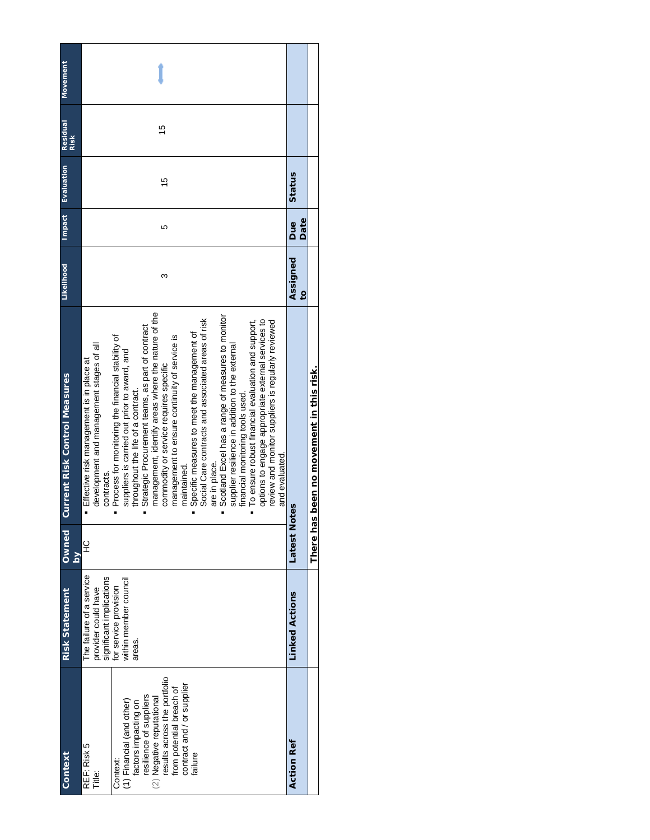| <b>Movement</b><br><b>Residual</b><br>Risk<br>Evaluation | 15<br>15                                                                                                                                                                                                                                                                                                                                                                                                                                                                                                                                                                                                                                                                                                                                                                                                                                                                                                                    | Status                     |
|----------------------------------------------------------|-----------------------------------------------------------------------------------------------------------------------------------------------------------------------------------------------------------------------------------------------------------------------------------------------------------------------------------------------------------------------------------------------------------------------------------------------------------------------------------------------------------------------------------------------------------------------------------------------------------------------------------------------------------------------------------------------------------------------------------------------------------------------------------------------------------------------------------------------------------------------------------------------------------------------------|----------------------------|
| Impact                                                   | 5                                                                                                                                                                                                                                                                                                                                                                                                                                                                                                                                                                                                                                                                                                                                                                                                                                                                                                                           | Date<br><b>Bue</b>         |
| <b>Likelihood</b>                                        | ω                                                                                                                                                                                                                                                                                                                                                                                                                                                                                                                                                                                                                                                                                                                                                                                                                                                                                                                           | Assigned<br>$\overline{c}$ |
| <b>Current Risk Control Measures</b>                     | management, identify areas where the nature of the<br>Scotland Excel has a range of measures to monitor<br>Social Care contracts and associated areas of risk<br>options to engage appropriate external services to<br>review and monitor suppliers is regularly reviewed<br>To ensure robust financial evaluation and support,<br>Strategic Procurement teams, as part of contract<br>Specific measures to meet the management of<br>management to ensure continuity of service is<br>Process for monitoring the financial stability of<br>development and management stages of all<br>supplier resilience in addition to the external<br>suppliers is carried out prior to award, and<br>Effective risk management is in place at<br>commodity or service requires specific<br>throughout the life of a contract.<br>financial monitoring tools used.<br>and evaluated<br>are in place.<br>maintained.<br>contracts.<br>Ξ |                            |
| Owned<br>$\overline{\mathsf{a}}$                         | 잎                                                                                                                                                                                                                                                                                                                                                                                                                                                                                                                                                                                                                                                                                                                                                                                                                                                                                                                           | Latest<br>Notes            |
| <b>Risk Statement</b>                                    | The failure of a service<br>significant implications<br>within member council<br>for service provision<br>provider could have<br>areas.                                                                                                                                                                                                                                                                                                                                                                                                                                                                                                                                                                                                                                                                                                                                                                                     | <b>Linked Actions</b>      |
| Context                                                  | results across the portfolio<br>contract and / or supplier<br>from potential breach of<br>resilience of suppliers<br>(2) Negative reputational<br>(1) Financial (and other)<br>factors impacting on<br>REF: Risk 5<br>failure<br>Context:<br>Title:                                                                                                                                                                                                                                                                                                                                                                                                                                                                                                                                                                                                                                                                         | <b>Action Ref</b>          |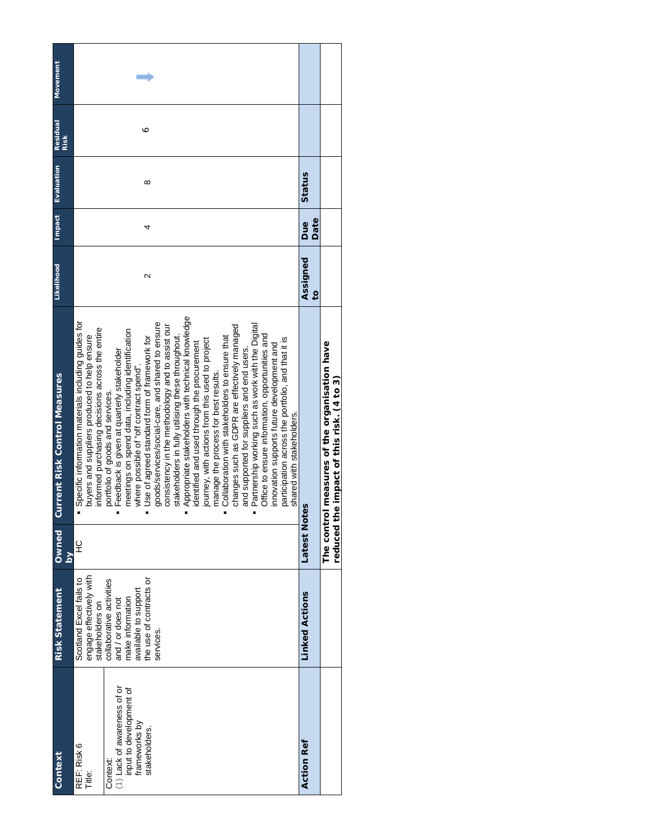| Context                                                                                                                       | <b>Risk Statement</b>                                                                                                                                                                                      | Owned                             | <b>Current Risk Control Measures</b>                                                                                                                                                                                                                                                                                                                                                                                                                                                                                                                                                                                                                                                                                                                                                                                                                                                                                                                                                                                                                                                                            | Likelihood        | Impact | <b>Lougnang</b> | <b>Residual</b><br>Risk | <b>Movement</b> |
|-------------------------------------------------------------------------------------------------------------------------------|------------------------------------------------------------------------------------------------------------------------------------------------------------------------------------------------------------|-----------------------------------|-----------------------------------------------------------------------------------------------------------------------------------------------------------------------------------------------------------------------------------------------------------------------------------------------------------------------------------------------------------------------------------------------------------------------------------------------------------------------------------------------------------------------------------------------------------------------------------------------------------------------------------------------------------------------------------------------------------------------------------------------------------------------------------------------------------------------------------------------------------------------------------------------------------------------------------------------------------------------------------------------------------------------------------------------------------------------------------------------------------------|-------------------|--------|-----------------|-------------------------|-----------------|
|                                                                                                                               |                                                                                                                                                                                                            | $\overline{\mathbf{5}}$           |                                                                                                                                                                                                                                                                                                                                                                                                                                                                                                                                                                                                                                                                                                                                                                                                                                                                                                                                                                                                                                                                                                                 |                   |        |                 |                         |                 |
| (1) Lack of awareness of or<br>input to development of<br>frameworks by<br>stakeholders.<br>REF: Risk 6<br>Context:<br>Title: | engage effectively with<br>Scotland Excel fails to<br>the use of contracts or<br>collaborative activities<br>and / or does not<br>available to support<br>make information<br>stakeholders on<br>services. | 잎                                 | Appropriate stakeholders with technical knowledge<br>Specific information materials including guides for<br>goods/services/social-care, and shared to ensure<br>Partnership working such as work with the Digital<br>consistency in the methodology and to assist our<br>changes such as GDPR are effectively managed<br>informed purchasing decisions across the entire<br>meetings on spend data, including identification<br>Office to ensure information, opportunities and<br>buyers and suppliers produced to help ensure<br>stakeholders in fully utilising these throughout.<br>Collaboration with stakeholders to ensure that<br>Use of agreed standard form of framework for<br>participation across the portfolio, and that it is<br>journey, with actions from this used to project<br>identified and used through the procurement<br>innovation supports future development and<br>and supported for suppliers and end users.<br>Feedback is given at quarterly stakeholder<br>where possible of "off contract spend".<br>manage the process for best results.<br>portfolio of goods and services. | $\mathbf{\Omega}$ | 4      | ∞               | ∘                       |                 |
| <b>Action Ref</b>                                                                                                             | <b>Linked Actions</b>                                                                                                                                                                                      | Latest<br>Notes                   | shared with stakeholders.                                                                                                                                                                                                                                                                                                                                                                                                                                                                                                                                                                                                                                                                                                                                                                                                                                                                                                                                                                                                                                                                                       | Assigned          | Due    | Status          |                         |                 |
|                                                                                                                               |                                                                                                                                                                                                            |                                   |                                                                                                                                                                                                                                                                                                                                                                                                                                                                                                                                                                                                                                                                                                                                                                                                                                                                                                                                                                                                                                                                                                                 | $\overline{c}$    | Date   |                 |                         |                 |
|                                                                                                                               |                                                                                                                                                                                                            | The contr<br>reduced <sub>1</sub> | ol measures of the organisation have<br>the impact of this risk. (4 to 3)                                                                                                                                                                                                                                                                                                                                                                                                                                                                                                                                                                                                                                                                                                                                                                                                                                                                                                                                                                                                                                       |                   |        |                 |                         |                 |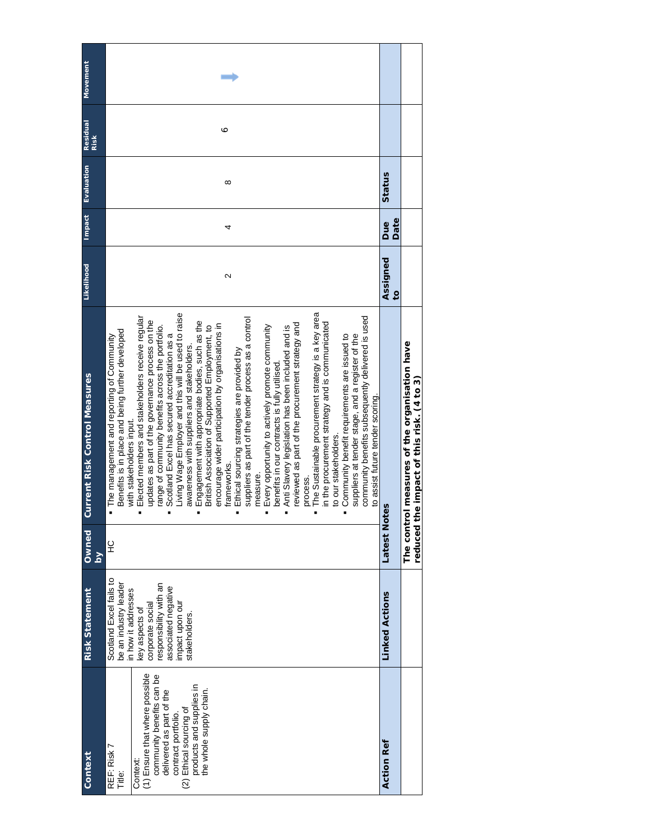|                                                                                                                                                                                                                                       |                                                                                                                                                                                                  |                    |                                                                                                                                                                                                                                                                                                                                                                                                                                                                                                                                                                                                                                                                                                                                                                                                                                                                                                                                                                                                                                                                                                                                                                                                                                                                                                | Likelihood                 | <b>Impact</b> | Evaluation | <b>Residual</b> | <b>Movement</b> |
|---------------------------------------------------------------------------------------------------------------------------------------------------------------------------------------------------------------------------------------|--------------------------------------------------------------------------------------------------------------------------------------------------------------------------------------------------|--------------------|------------------------------------------------------------------------------------------------------------------------------------------------------------------------------------------------------------------------------------------------------------------------------------------------------------------------------------------------------------------------------------------------------------------------------------------------------------------------------------------------------------------------------------------------------------------------------------------------------------------------------------------------------------------------------------------------------------------------------------------------------------------------------------------------------------------------------------------------------------------------------------------------------------------------------------------------------------------------------------------------------------------------------------------------------------------------------------------------------------------------------------------------------------------------------------------------------------------------------------------------------------------------------------------------|----------------------------|---------------|------------|-----------------|-----------------|
| Context                                                                                                                                                                                                                               | <b>Risk Statement</b>                                                                                                                                                                            | Owned<br><b>Ng</b> | <b>Current Risk Control Measures</b>                                                                                                                                                                                                                                                                                                                                                                                                                                                                                                                                                                                                                                                                                                                                                                                                                                                                                                                                                                                                                                                                                                                                                                                                                                                           |                            |               |            | Risk            |                 |
| (1) Ensure that where possible<br>community benefits can be<br>products and supplies in<br>the whole supply chain.<br>delivered as part of the<br>(2) Ethical sourcing of<br>contract portfolio.<br>REF: Risk 7<br>Context:<br>Title: | Scotland Excel fails to<br>be an industry leader<br>esponsibility with an<br>associated negative<br>in how it addresses<br>corporate social<br>impact upon ou<br>key aspects of<br>stakeholders. | $\frac{0}{1}$      | The Sustainable procurement strategy is a key area<br>Living Wage Employer and this will be used to raise<br>community benefits subsequently delivered is used<br>Elected members and stakeholders receive reqular<br>suppliers as part of the tender process as a control<br>updates as part of the governance process on the<br>Engagement with appropriate bodies, such as the<br>in the procurement strategy and is communicated<br>reviewed as part of the procurement strategy and<br>encourage wider participation by organisations in<br>British Association of Supported Employment, to<br>Every opportunity to actively promote community<br>range of community benefits across the portfolio.<br>Anti Slavery legislation has been included and is<br>Benefits is in place and being further developed<br>Scotland Excel has secured accreditation as a<br>suppliers at tender stage, and a register of the<br>Community benefit requirements are issued to<br>· The management and reporting of Community<br>awareness with suppliers and stakeholders.<br>Ethical sourcing strategies are provided by<br>benefits in our contracts is fully utilised<br>to assist future tender scoring<br>with stakeholders input<br>to our stakeholders.<br>frameworks.<br>measure.<br>process. | $\mathbf{\Omega}$          | 4             | ∞          | ∘               |                 |
| Action Ref                                                                                                                                                                                                                            | <b>Linked Actions</b>                                                                                                                                                                            | Latest<br>Notes    |                                                                                                                                                                                                                                                                                                                                                                                                                                                                                                                                                                                                                                                                                                                                                                                                                                                                                                                                                                                                                                                                                                                                                                                                                                                                                                | Assigned<br>$\overline{c}$ | Date<br>Due   | Status     |                 |                 |
|                                                                                                                                                                                                                                       |                                                                                                                                                                                                  | reduced            | The control measures of the organisation have<br>the impact of this risk. (4 to 3)                                                                                                                                                                                                                                                                                                                                                                                                                                                                                                                                                                                                                                                                                                                                                                                                                                                                                                                                                                                                                                                                                                                                                                                                             |                            |               |            |                 |                 |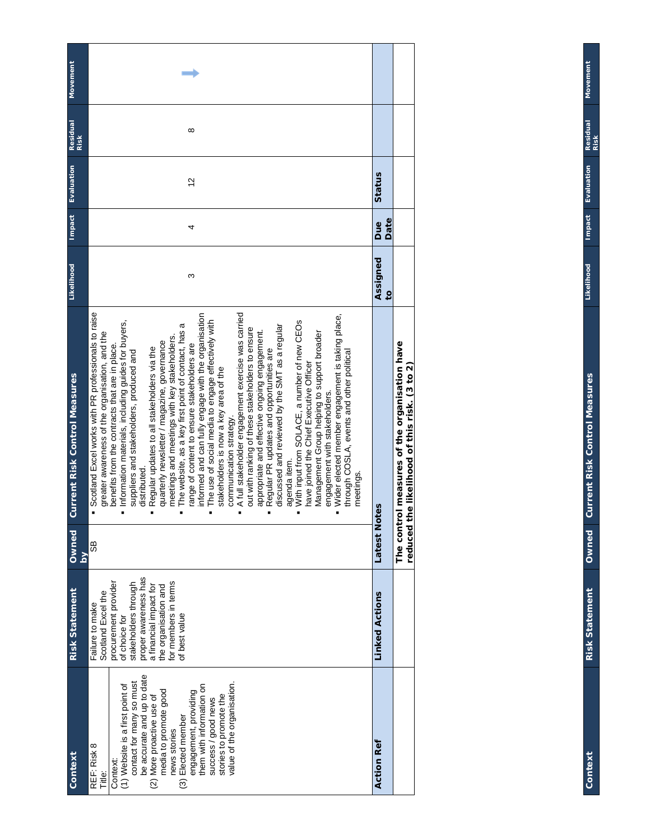| Movement                             |                                                                                                                                                                                                                                                                                                                                                                                                                                                                                                                                                                                                                                                                                                                                                                                                                                                                                                                                                                                                                                                                                                                                                                                                                                                                                                                 |                          |                                                                                           |
|--------------------------------------|-----------------------------------------------------------------------------------------------------------------------------------------------------------------------------------------------------------------------------------------------------------------------------------------------------------------------------------------------------------------------------------------------------------------------------------------------------------------------------------------------------------------------------------------------------------------------------------------------------------------------------------------------------------------------------------------------------------------------------------------------------------------------------------------------------------------------------------------------------------------------------------------------------------------------------------------------------------------------------------------------------------------------------------------------------------------------------------------------------------------------------------------------------------------------------------------------------------------------------------------------------------------------------------------------------------------|--------------------------|-------------------------------------------------------------------------------------------|
| <b>Residual</b><br>Risk              | ∞                                                                                                                                                                                                                                                                                                                                                                                                                                                                                                                                                                                                                                                                                                                                                                                                                                                                                                                                                                                                                                                                                                                                                                                                                                                                                                               |                          |                                                                                           |
| Evaluation                           | 2                                                                                                                                                                                                                                                                                                                                                                                                                                                                                                                                                                                                                                                                                                                                                                                                                                                                                                                                                                                                                                                                                                                                                                                                                                                                                                               | Status                   |                                                                                           |
| <b>Impact</b>                        | 4                                                                                                                                                                                                                                                                                                                                                                                                                                                                                                                                                                                                                                                                                                                                                                                                                                                                                                                                                                                                                                                                                                                                                                                                                                                                                                               | Date<br>Due              |                                                                                           |
| Likelihood                           | ო                                                                                                                                                                                                                                                                                                                                                                                                                                                                                                                                                                                                                                                                                                                                                                                                                                                                                                                                                                                                                                                                                                                                                                                                                                                                                                               | Assigned<br>$\mathbf{c}$ |                                                                                           |
| <b>Current Risk Control Measures</b> | <b>Scotland Excel works with PR professionals to raise</b><br>A full stakeholder engagement exercise was carried<br>Wider elected member engagement is taking place,<br>informed and can fully engage with the organisation<br>The use of social media to engage effectively with<br>With input from SOLACE, a number of new CEOs<br>Information materials, including guides for buyers,<br>The website, as a key first point of contact, has a<br>discussed and reviewed by the SMT as a regular<br>out with ranking of these stakeholders to ensure<br>appropriate and effective ongoing engagement.<br>Management Group helping to support broader<br>greater awareness of the organisation, and the<br>meetings and meetings with key stakeholders.<br>quarterly newsletter / magazine, governance<br>range of content to ensure stakeholders are<br>benefits from the contracts that are in place.<br>Regular updates to all stakeholders via the<br>Regular PR updates and opportunities are<br>suppliers and stakeholders, produced and<br>through COSLA, events and other political<br>have joined the Chief Executive Officer<br>stakeholders is now a key area of the<br>engagement with stakeholders.<br>communication strategy.<br>agenda item.<br>distributed.<br>meetings.<br>E<br>$\blacksquare$ |                          | The control measures of the organisation have<br>(3 to 2)<br>the likelihood of this risk. |
| Owned<br>$\overline{\mathsf{S}}$     | 8S                                                                                                                                                                                                                                                                                                                                                                                                                                                                                                                                                                                                                                                                                                                                                                                                                                                                                                                                                                                                                                                                                                                                                                                                                                                                                                              | Latest<br>Notes          | reduced                                                                                   |
| <b>Risk Statement</b>                | proper awareness has<br>for members in terms<br>procurement provider<br>stakeholders through<br>a financial impact for<br>the organisation and<br>Scotland Excel the<br>Failure to make<br>of best value<br>of choice for                                                                                                                                                                                                                                                                                                                                                                                                                                                                                                                                                                                                                                                                                                                                                                                                                                                                                                                                                                                                                                                                                       | <b>Linked Actions</b>    |                                                                                           |
| Context                              | be accurate and up to date<br>contact for many so must<br>value of the organisation.<br>(1) Website is a first point of<br>them with information on<br>media to promote good<br>engagement, providing<br>stories to promote the<br>(2) More proactive use of<br>success / good news<br>(3) Elected member<br>news stories<br>REF: Risk 8<br>Context:<br>Title:                                                                                                                                                                                                                                                                                                                                                                                                                                                                                                                                                                                                                                                                                                                                                                                                                                                                                                                                                  | <b>Action Ref</b>        |                                                                                           |

**Impact Evaluation Residual Context Risk Statement Owned Current Risk Control Measures Likelihood Impact Evaluation Residual**  Likelihood Owned Current Risk Control Measures

Movement **Movement**

Context

**Risk Statement**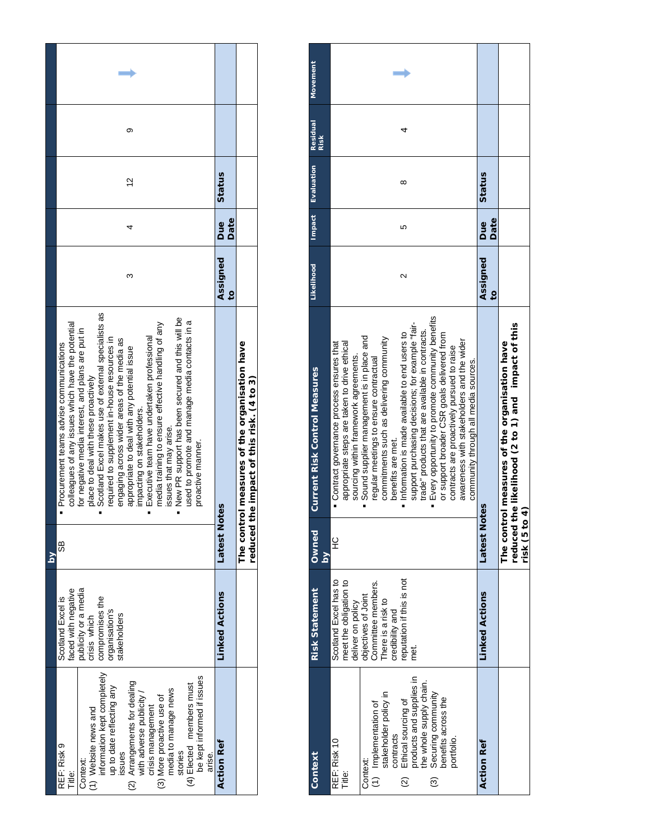|        | တ                                                                                                                                                                                                                                                                                                                                                                                                                                                                                                                                                                                                                                                                                       |                            |                                                                                    |
|--------|-----------------------------------------------------------------------------------------------------------------------------------------------------------------------------------------------------------------------------------------------------------------------------------------------------------------------------------------------------------------------------------------------------------------------------------------------------------------------------------------------------------------------------------------------------------------------------------------------------------------------------------------------------------------------------------------|----------------------------|------------------------------------------------------------------------------------|
|        | $\frac{2}{3}$                                                                                                                                                                                                                                                                                                                                                                                                                                                                                                                                                                                                                                                                           | Status                     |                                                                                    |
|        |                                                                                                                                                                                                                                                                                                                                                                                                                                                                                                                                                                                                                                                                                         | Date<br><b>Bue</b>         |                                                                                    |
|        | ω                                                                                                                                                                                                                                                                                                                                                                                                                                                                                                                                                                                                                                                                                       | Assigned<br>$\overline{6}$ |                                                                                    |
|        | Scotland Excel makes use of external specialists as<br>New PR support has been secured and this will be<br>used to promote and manage media contacts in a<br>colleagues of any issues which have the potential<br>media training to ensure effective handling of any<br>for negative media interest, and plans are put in<br>Executive team have undertaken professional<br>required to supplement in-house resources in<br>engaging across wider areas of the media as<br>Procurement teams advise communications<br>appropriate to deal with any potential issue<br>place to deal with these proactively<br>impacting on stakeholders.<br>issues that may arise.<br>proactive manner. | Latest<br>Notes            | The control measures of the organisation have<br>the impact of this risk. (4 to 3) |
| $\geq$ | 89                                                                                                                                                                                                                                                                                                                                                                                                                                                                                                                                                                                                                                                                                      |                            | reduced                                                                            |
|        | publicity or a media<br>faced with negative<br>Scotland Excel is<br>compromises the<br>prganisation's<br>trisis which<br>stakeholders                                                                                                                                                                                                                                                                                                                                                                                                                                                                                                                                                   | <b>Linked Actions</b>      |                                                                                    |
|        | information kept completely<br>be kept informed if issues<br>(2) Arrangements for dealing<br>with adverse publicity /<br>(4) Elected members must<br>up to date reflecting any<br>media to manage news<br>(3) More proactive use of<br>crisis management<br>(1) Website news and<br>REF: Risk 9<br>ssues<br>stories<br>arise.<br>Context:<br>Title:                                                                                                                                                                                                                                                                                                                                     | <b>Action Ref</b>          |                                                                                    |

| Context                                                                    | <b>Risk Statement</b>    | Owned                   | <b>Current Risk Control Measures</b>             | Likelihood        | <b>Impact</b> | Evaluation | <b>Residual</b> | <b>Movement</b> |
|----------------------------------------------------------------------------|--------------------------|-------------------------|--------------------------------------------------|-------------------|---------------|------------|-----------------|-----------------|
|                                                                            |                          | $\overline{\mathsf{a}}$ |                                                  |                   |               |            | <b>Risk</b>     |                 |
| REF: Risk 10                                                               | Scotland Excel has to    | 잎                       | Contract governance process ensures that         |                   |               |            |                 |                 |
| Title:                                                                     | meet the obligation to   |                         | appropriate steps are taken to drive ethical     |                   |               |            |                 |                 |
|                                                                            | deliver on policy        |                         | sourcing within framework agreements.            |                   |               |            |                 |                 |
| Context:                                                                   | objectives of Joint      |                         | Sound supplier management is in place and        |                   |               |            |                 |                 |
|                                                                            | Committee members.       |                         | regular meetings to ensure contractual           |                   |               |            |                 |                 |
| (1) Implementation of<br>stakeholder policy in                             | There is a risk to       |                         | commitments such as delivering community         |                   |               |            |                 |                 |
| contracts                                                                  | credibility and          |                         | benefits are met.                                |                   |               |            |                 |                 |
| $\widehat{\alpha}$                                                         | eputation if this is not |                         | Information is made available to end users to    | $\mathbf{\Omega}$ | ю             | ∞          |                 |                 |
|                                                                            | met.                     |                         | support purchasing decisions; for example "fair- |                   |               |            |                 |                 |
| Ethical sourcing of<br>products and supplies in<br>the whole supply chain. |                          |                         | trade" products that are available in contracts. |                   |               |            |                 |                 |
| Securing community<br>benefits across the<br>$\odot$                       |                          |                         | Every opportunity to promote community benefits  |                   |               |            |                 |                 |
|                                                                            |                          |                         | or support broader CSR goals delivered from      |                   |               |            |                 |                 |
| portfolio.                                                                 |                          |                         | contracts are proactively pursued to raise       |                   |               |            |                 |                 |
|                                                                            |                          |                         | awareness with stakeholders and the wider        |                   |               |            |                 |                 |
|                                                                            |                          |                         | community through all media sources.             |                   |               |            |                 |                 |
| <b>Action Ref</b>                                                          | <b>Linked Actions</b>    | Latest<br>No            | saio                                             | Assigned          | <b>Due</b>    | Status     |                 |                 |
|                                                                            |                          |                         |                                                  | $\overline{c}$    | Date          |            |                 |                 |
|                                                                            |                          |                         | The control measures of the organisation have    |                   |               |            |                 |                 |
|                                                                            |                          | reduced <sub>1</sub>    | the likelihood (2 to 1) and impact of this       |                   |               |            |                 |                 |
|                                                                            |                          | risk (5 to              | ุุิ                                              |                   |               |            |                 |                 |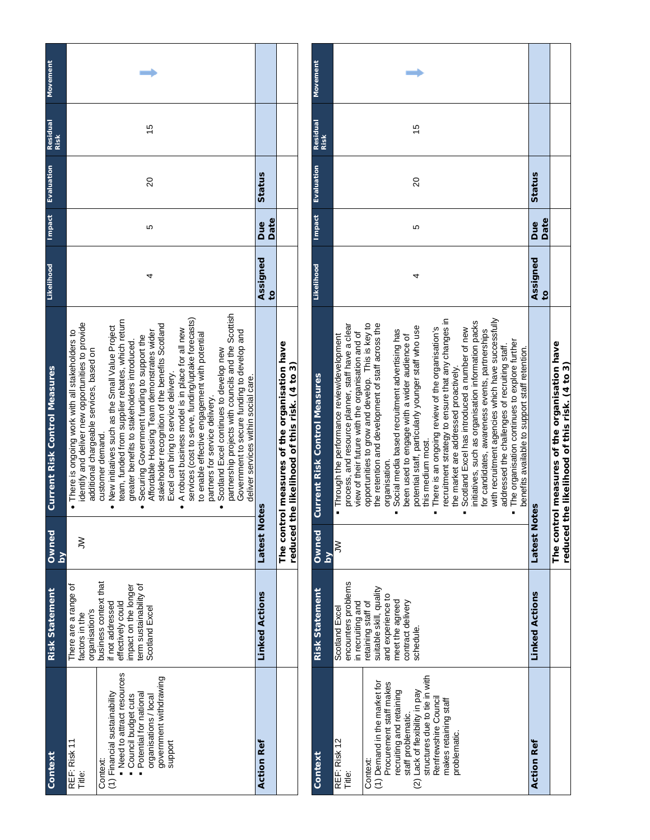| Movement                             |                                                                                                                                                                                                                                                                                                                                                                                                                                                                                                                                                                                                                                                                                                                                                                                                                                                                                                                                   |                          |                                                                                       | Movement                             |                                                                                                                                                        |                                                                                                                         |                                                                                                                                                       |
|--------------------------------------|-----------------------------------------------------------------------------------------------------------------------------------------------------------------------------------------------------------------------------------------------------------------------------------------------------------------------------------------------------------------------------------------------------------------------------------------------------------------------------------------------------------------------------------------------------------------------------------------------------------------------------------------------------------------------------------------------------------------------------------------------------------------------------------------------------------------------------------------------------------------------------------------------------------------------------------|--------------------------|---------------------------------------------------------------------------------------|--------------------------------------|--------------------------------------------------------------------------------------------------------------------------------------------------------|-------------------------------------------------------------------------------------------------------------------------|-------------------------------------------------------------------------------------------------------------------------------------------------------|
| Residual<br>Risk                     | 15                                                                                                                                                                                                                                                                                                                                                                                                                                                                                                                                                                                                                                                                                                                                                                                                                                                                                                                                |                          |                                                                                       | Residual<br>Risk                     |                                                                                                                                                        |                                                                                                                         | 10                                                                                                                                                    |
| Evaluation                           | $\overline{20}$                                                                                                                                                                                                                                                                                                                                                                                                                                                                                                                                                                                                                                                                                                                                                                                                                                                                                                                   | Status                   |                                                                                       | Evaluation                           |                                                                                                                                                        |                                                                                                                         | $\overline{20}$                                                                                                                                       |
| <b>Impact</b>                        | 5                                                                                                                                                                                                                                                                                                                                                                                                                                                                                                                                                                                                                                                                                                                                                                                                                                                                                                                                 | Date<br>Due              |                                                                                       | <b>Impact</b>                        |                                                                                                                                                        |                                                                                                                         | 5                                                                                                                                                     |
| Likelihood                           | 4                                                                                                                                                                                                                                                                                                                                                                                                                                                                                                                                                                                                                                                                                                                                                                                                                                                                                                                                 | Assigned<br>$\mathbf{c}$ |                                                                                       | Likelihood                           |                                                                                                                                                        |                                                                                                                         |                                                                                                                                                       |
| <b>Current Risk Control Measures</b> | partnership projects with councils and the Scottish<br>services (cost to serve, funding/uptake forecasts)<br>team, funded from supplier rebates, which return<br>identify and deliver new opportunities to provide<br>stakeholder recognition of the benefits Scotland<br>New initiatives such as the Small Value Project<br>A robust business model is in place for all new<br>. There is ongoing work with all stakeholders to<br>Affordable Housing Team demonstrates wider<br>Government to secure funding to develop and<br>to enable effective engagement with potential<br>Securing Government funding to support the<br>greater benefits to stakeholders introduced<br>additional chargeable services, based on<br>Scotland Excel continues to develop new<br>Excel can bring to service delivery.<br>deliver services within social care.<br>partners for service delivery.<br>customer demand<br>$\bullet$<br>$\bullet$ |                          | The control measures of the organisation have<br>the likelihood of this risk. (4 to 3 | <b>Current Risk Control Measures</b> | process, and resource planner, staff have a clear<br>view of their future with the organisation and of<br>. Through the performance review/development | opportunities to grow and develop. This is key to<br>the retention and development of staff across the<br>organisation. | potential staff, particularly younger staff who use<br>Social media based recruitment advertising has<br>been used to engage with a wider audience of |
| Owned<br>ΣĀ                          | ξ                                                                                                                                                                                                                                                                                                                                                                                                                                                                                                                                                                                                                                                                                                                                                                                                                                                                                                                                 | <b>Latest Notes</b>      | reduced                                                                               | Owned<br>$\mathbf{\Sigma}$           | ξ                                                                                                                                                      |                                                                                                                         |                                                                                                                                                       |
| <b>Risk Statement</b>                | business context that<br>There are a range of<br>impact on the longer<br>term sustainability of<br>effectively could<br>if not addressed<br>Scotland Excel<br>organisation's<br>factors in the                                                                                                                                                                                                                                                                                                                                                                                                                                                                                                                                                                                                                                                                                                                                    | <b>Linked Actions</b>    |                                                                                       | <b>Risk Statement</b>                | encounters problems<br>in recruiting and<br>Scotland Excel                                                                                             | suitable skill, quality<br>and experience to<br>retaining staff of                                                      | meet the agreed<br>contract delivery<br>schedule.                                                                                                     |
| Context                              | . Need to attract resources<br>government withdrawing<br>(1) Financial sustainability<br>Potential for national<br>Council budget cuts<br>organisations / local<br>support<br>REF: Risk 11<br>Title:<br>Context:                                                                                                                                                                                                                                                                                                                                                                                                                                                                                                                                                                                                                                                                                                                  | <b>Action Ref</b>        |                                                                                       | Context                              | REF: Risk 12<br>Title:                                                                                                                                 | (1) Demand in the market for<br>Procurement staff makes<br>Context:                                                     | recruiting and retaining<br>(2) Lack of flexibility in pay<br>staff problematic.                                                                      |

| Context                                                                                                                                                                                                                                                                             | <b>Risk Statement</b>                                                                                                                                                                 | <b>Dwned</b><br>$\mathsf{S}$ | <b>Current Risk Control Measures</b>                                                                                                                                                                                                                                                                                                                                                                                                                                                                                                                                                                                                                                                                                                                                                                                                                                                                                                                                                 | Likelinood Impact Evaluation Residual |                    |        | <b>Risk</b> | <b>Movement</b> |
|-------------------------------------------------------------------------------------------------------------------------------------------------------------------------------------------------------------------------------------------------------------------------------------|---------------------------------------------------------------------------------------------------------------------------------------------------------------------------------------|------------------------------|--------------------------------------------------------------------------------------------------------------------------------------------------------------------------------------------------------------------------------------------------------------------------------------------------------------------------------------------------------------------------------------------------------------------------------------------------------------------------------------------------------------------------------------------------------------------------------------------------------------------------------------------------------------------------------------------------------------------------------------------------------------------------------------------------------------------------------------------------------------------------------------------------------------------------------------------------------------------------------------|---------------------------------------|--------------------|--------|-------------|-----------------|
| structures due to tie in with<br>(1) Demand in the market for<br>Procurement staff makes<br>recruiting and retaining<br>(2) Lack of flexibility in pay<br>Renfrewshire Council<br>makes retaining staff<br>staff problematic.<br>problematic.<br>REF: Risk 12<br>Context:<br>Title: | encounters problems<br>suitable skill, quality<br>and experience to<br>meet the agreed<br>contract delivery<br>in recruiting and<br>retaining staff of<br>Scotland Excel<br>schedule. | ξ                            | with recruitment agencies which have successfully<br>recruitment strategy to ensure that any changes in<br>nitiatives, such as organisation information packs<br>the retention and development of staff across the<br>process, and resource planner, staff have a clear<br>opportunities to grow and develop. This is key to<br>potential staff, particularly younger staff who use<br>There is an ongoing review of the organisation's<br>Scotland Excel has introduced a number of new<br>for candidates, awareness events, partnerships<br>Social media based recruitment advertising has<br>view of their future with the organisation and of<br>been used to engage with a wider audience of<br>. Through the performance review/development<br>The organisation continues to explore further<br>addressed the challenges of recruiting staff.<br>benefits available to support staff retention.<br>the market are addressed proactively.<br>this medium most.<br>organisation. | 4                                     | 5                  | 20     | 10          |                 |
| <b>Action Ref</b>                                                                                                                                                                                                                                                                   | <b>Linked Actions</b>                                                                                                                                                                 | Latest<br>Notes              |                                                                                                                                                                                                                                                                                                                                                                                                                                                                                                                                                                                                                                                                                                                                                                                                                                                                                                                                                                                      | Assigned<br>$\overline{c}$            | Date<br><b>Bue</b> | Status |             |                 |
|                                                                                                                                                                                                                                                                                     |                                                                                                                                                                                       | reduced <sub>1</sub>         | The control measures of the organisation have<br>the likelihood of this risk. (4 to 3)                                                                                                                                                                                                                                                                                                                                                                                                                                                                                                                                                                                                                                                                                                                                                                                                                                                                                               |                                       |                    |        |             |                 |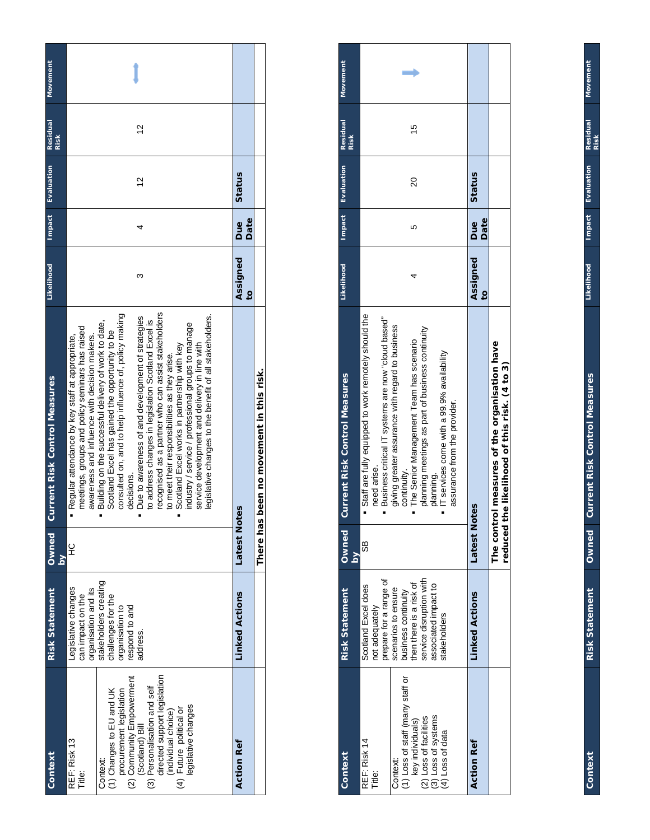| Movement<br><b>Residual</b><br><b>Risk</b> | 5                                                                                                                                                                                                                                                                                                                                                                                                                                                                                                                                                                                                                                                                                                                                                                           |                            |  |
|--------------------------------------------|-----------------------------------------------------------------------------------------------------------------------------------------------------------------------------------------------------------------------------------------------------------------------------------------------------------------------------------------------------------------------------------------------------------------------------------------------------------------------------------------------------------------------------------------------------------------------------------------------------------------------------------------------------------------------------------------------------------------------------------------------------------------------------|----------------------------|--|
| <b>Impact</b> Evaluation                   | $\frac{2}{3}$                                                                                                                                                                                                                                                                                                                                                                                                                                                                                                                                                                                                                                                                                                                                                               | Status                     |  |
|                                            |                                                                                                                                                                                                                                                                                                                                                                                                                                                                                                                                                                                                                                                                                                                                                                             | Date<br>Due                |  |
| Likelihood                                 | ω                                                                                                                                                                                                                                                                                                                                                                                                                                                                                                                                                                                                                                                                                                                                                                           | Assigned<br>$\overline{c}$ |  |
| Current Risk Control Measures              | recognised as a partner who can assist stakeholders<br>consulted on, and to help influence of, policy making<br>legislative changes to the benefit of all stakeholders.<br>Due to awareness of and development of strategies<br>to address changes in legislation Scotland Excel is<br>Building on the successful delivery of work to date,<br>industry / service / professional groups to manage<br>meetings, groups and policy seminars has raised<br>Scotland Excel has gained the opportunity to be<br>awareness and influence with decision makers.<br>Regular attendance by key staff at appropriate,<br>Scotland Excel works in partnership with key<br>service development and delivery in line with<br>to meet their responsibilities as they arise.<br>decisions. | es.                        |  |
| Owned<br>$\frac{8}{2}$                     | 잎                                                                                                                                                                                                                                                                                                                                                                                                                                                                                                                                                                                                                                                                                                                                                                           | Latest<br>Not              |  |
| <b>Risk Statement</b>                      | stakeholders creating<br>Legislative changes<br>organisation and its<br>can impact on the<br>challenges for the<br>organisation to<br>bue of puodse.<br>address.                                                                                                                                                                                                                                                                                                                                                                                                                                                                                                                                                                                                            | <b>Linked Actions</b>      |  |
| Context                                    | directed support legislation<br>(2) Community Empowerment<br>(3) Personalisation and self<br>(1) Changes to EU and UK<br>procurement legislation<br>legislative changes<br>(individual choice)<br>(4) Future political or<br>(Scotland) Bill<br>REF: Risk 13<br>Context:<br>Title:                                                                                                                                                                                                                                                                                                                                                                                                                                                                                          | <b>Action Ref</b>          |  |

| Context                                                                                                                                                         | <b>Risk Statement</b>                                                                                                                                                                                       | Dwned<br>$\frac{8}{2}$ | <b>Current Risk Control Measures</b>                                                                                                                                                                                                                                                                                                                                                       | Likelihood                 | Impact      | Evaluation | <b>Residual</b><br><b>Risk</b> | <b>Movement</b> |
|-----------------------------------------------------------------------------------------------------------------------------------------------------------------|-------------------------------------------------------------------------------------------------------------------------------------------------------------------------------------------------------------|------------------------|--------------------------------------------------------------------------------------------------------------------------------------------------------------------------------------------------------------------------------------------------------------------------------------------------------------------------------------------------------------------------------------------|----------------------------|-------------|------------|--------------------------------|-----------------|
| (1) Loss of staff (many staff or<br>(3) Loss of systems<br>(2) Loss of facilities<br>key individuals)<br>(4) Loss of data<br>REF: Risk 14<br>Context:<br>Title: | service disruption with<br>prepare for a range of<br>then there is a risk of<br>associated impact to<br>Scotland Excel does<br>scenarios to ensure<br>business continuity<br>not adequately<br>stakeholders | 98                     | " Staff are fully equipped to work remotely should the<br>· Business critical IT systems are now "cloud based"<br>giving greater assurance with regard to business<br>planning meetings as part of business continuity<br>The Senior Management Team has scenario<br>IT services come with a 99.9% availability<br>assurance from the provider.<br>continuity.<br>need arise.<br>planning. |                            |             | 20         | 10                             |                 |
| <b>Action Ref</b>                                                                                                                                               | <b>Linked Actions</b>                                                                                                                                                                                       | Latest<br>No           | ites                                                                                                                                                                                                                                                                                                                                                                                       | Assigned<br>$\overline{5}$ | Date<br>Due | Status     |                                |                 |
|                                                                                                                                                                 |                                                                                                                                                                                                             | reduced                | The control measures of the organisation have<br>the likelihood of this risk. (4 to 3)                                                                                                                                                                                                                                                                                                     |                            |             |            |                                |                 |

**Context Risk Statement Owned Current Risk Control Measures Likelihood Impact Evaluation Residual**  Likelihood Risk Statement Owned Current Risk Control Measures

Context

Movement **Movement**